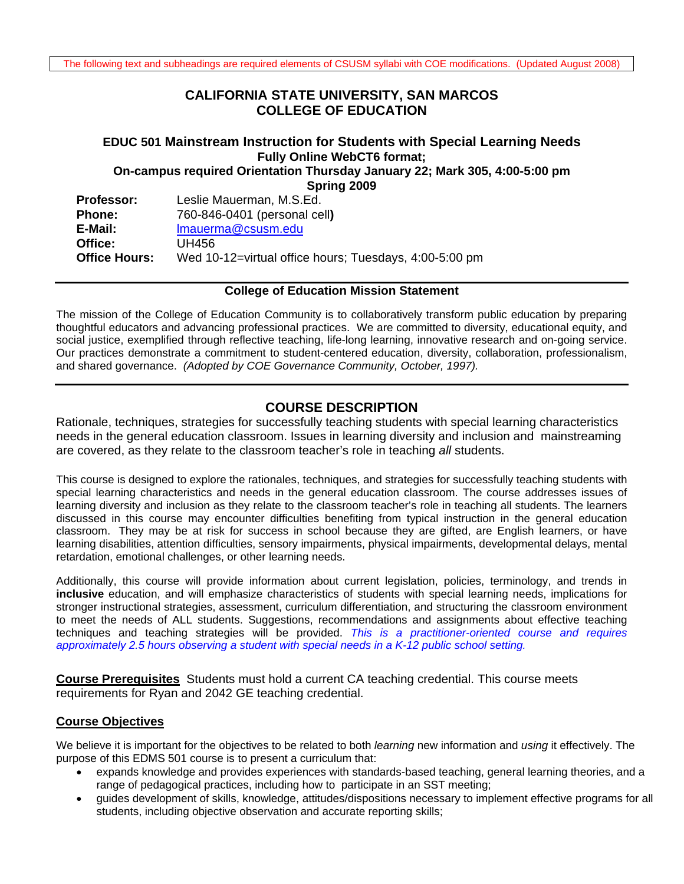# **CALIFORNIA STATE UNIVERSITY, SAN MARCOS COLLEGE OF EDUCATION**

# **EDUC 501 Mainstream Instruction for Students with Special Learning Needs Fully Online WebCT6 format; On-campus required Orientation Thursday January 22; Mark 305, 4:00-5:00 pm**

**Spring 2009** 

| <b>Professor:</b>    | Leslie Mauerman, M.S.Ed.                               |
|----------------------|--------------------------------------------------------|
| <b>Phone:</b>        | 760-846-0401 (personal cell)                           |
| E-Mail:              | Imauerma@csusm.edu                                     |
| Office:              | UH456                                                  |
| <b>Office Hours:</b> | Wed 10-12=virtual office hours; Tuesdays, 4:00-5:00 pm |

#### **College of Education Mission Statement**

The mission of the College of Education Community is to collaboratively transform public education by preparing thoughtful educators and advancing professional practices. We are committed to diversity, educational equity, and social justice, exemplified through reflective teaching, life-long learning, innovative research and on-going service. Our practices demonstrate a commitment to student-centered education, diversity, collaboration, professionalism, and shared governance. *(Adopted by COE Governance Community, October, 1997).* 

# **COURSE DESCRIPTION**

Rationale, techniques, strategies for successfully teaching students with special learning characteristics needs in the general education classroom. Issues in learning diversity and inclusion and mainstreaming are covered, as they relate to the classroom teacher's role in teaching *all* students.

This course is designed to explore the rationales, techniques, and strategies for successfully teaching students with special learning characteristics and needs in the general education classroom. The course addresses issues of learning diversity and inclusion as they relate to the classroom teacher's role in teaching all students. The learners discussed in this course may encounter difficulties benefiting from typical instruction in the general education classroom. They may be at risk for success in school because they are gifted, are English learners, or have learning disabilities, attention difficulties, sensory impairments, physical impairments, developmental delays, mental retardation, emotional challenges, or other learning needs.

 *approximately 2.5 hours observing a student with special needs in a K-12 public school setting.* Additionally, this course will provide information about current legislation, policies, terminology, and trends in **inclusive** education, and will emphasize characteristics of students with special learning needs, implications for stronger instructional strategies, assessment, curriculum differentiation, and structuring the classroom environment to meet the needs of ALL students. Suggestions, recommendations and assignments about effective teaching techniques and teaching strategies will be provided. *This is a practitioner-oriented course and requires* 

**Course Prerequisites** Students must hold a current CA teaching credential. This course meets requirements for Ryan and 2042 GE teaching credential.

### **Course Objectives**

We believe it is important for the objectives to be related to both *learning* new information and *using* it effectively. The purpose of this EDMS 501 course is to present a curriculum that:

- expands knowledge and provides experiences with standards-based teaching, general learning theories, and a range of pedagogical practices, including how to participate in an SST meeting;
- guides development of skills, knowledge, attitudes/dispositions necessary to implement effective programs for all students, including objective observation and accurate reporting skills;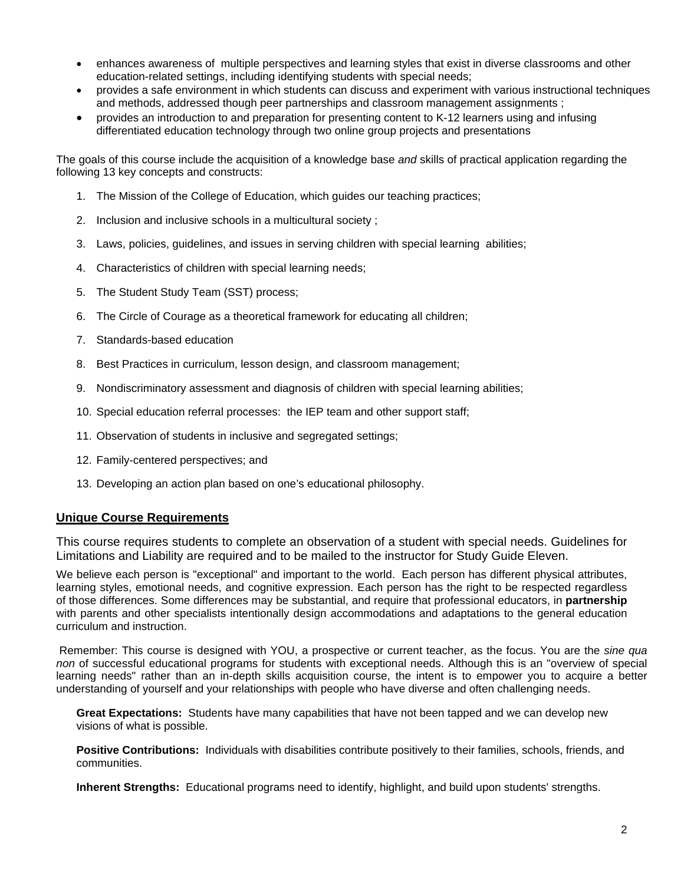- enhances awareness of multiple perspectives and learning styles that exist in diverse classrooms and other education-related settings, including identifying students with special needs;
- provides a safe environment in which students can discuss and experiment with various instructional techniques and methods, addressed though peer partnerships and classroom management assignments ;
- provides an introduction to and preparation for presenting content to K-12 learners using and infusing differentiated education technology through two online group projects and presentations

The goals of this course include the acquisition of a knowledge base *and* skills of practical application regarding the following 13 key concepts and constructs:

- 1. The Mission of the College of Education, which guides our teaching practices;
- 2. Inclusion and inclusive schools in a multicultural society ;
- 3. Laws, policies, guidelines, and issues in serving children with special learning abilities;
- 4. Characteristics of children with special learning needs;
- 5. The Student Study Team (SST) process;
- 6. The Circle of Courage as a theoretical framework for educating all children;
- 7. Standards-based education
- 8. Best Practices in curriculum, lesson design, and classroom management;
- 9. Nondiscriminatory assessment and diagnosis of children with special learning abilities;
- 10. Special education referral processes: the IEP team and other support staff;
- 11. Observation of students in inclusive and segregated settings;
- 12. Family-centered perspectives; and
- 13. Developing an action plan based on one's educational philosophy.

#### **Unique Course Requirements**

This course requires students to complete an observation of a student with special needs. Guidelines for Limitations and Liability are required and to be mailed to the instructor for Study Guide Eleven.

We believe each person is "exceptional" and important to the world. Each person has different physical attributes, learning styles, emotional needs, and cognitive expression. Each person has the right to be respected regardless of those differences. Some differences may be substantial, and require that professional educators, in **partnership**  with parents and other specialists intentionally design accommodations and adaptations to the general education curriculum and instruction.

Remember: This course is designed with YOU, a prospective or current teacher, as the focus. You are the *sine qua non* of successful educational programs for students with exceptional needs. Although this is an "overview of special learning needs" rather than an in-depth skills acquisition course, the intent is to empower you to acquire a better understanding of yourself and your relationships with people who have diverse and often challenging needs.

**Great Expectations:** Students have many capabilities that have not been tapped and we can develop new visions of what is possible.

**Positive Contributions:** Individuals with disabilities contribute positively to their families, schools, friends, and communities.

**Inherent Strengths:** Educational programs need to identify, highlight, and build upon students' strengths.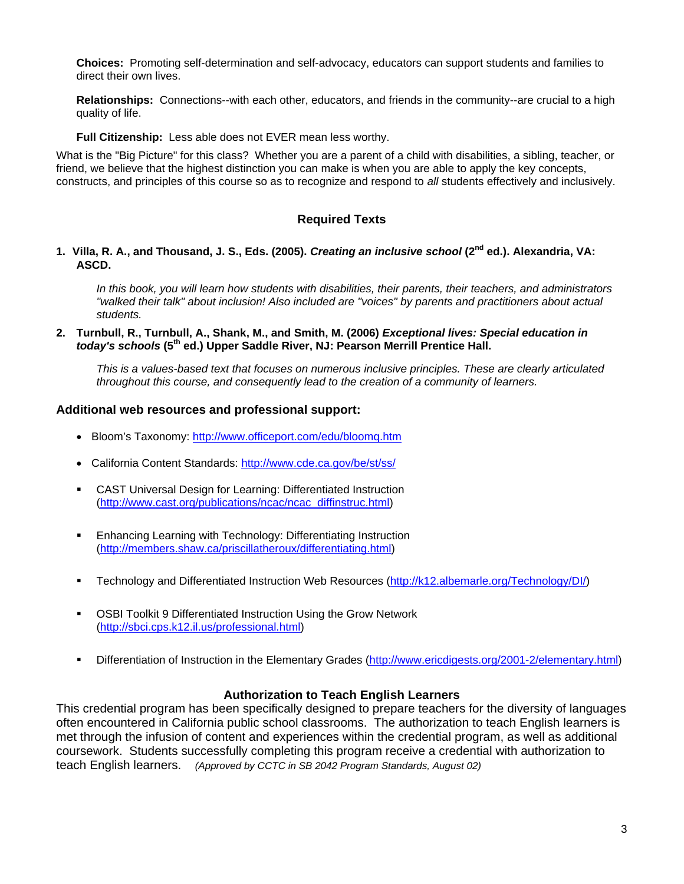**Choices:** Promoting self-determination and self-advocacy, educators can support students and families to direct their own lives.

**Relationships:** Connections--with each other, educators, and friends in the community--are crucial to a high quality of life.

**Full Citizenship:** Less able does not EVER mean less worthy.

What is the "Big Picture" for this class? Whether you are a parent of a child with disabilities, a sibling, teacher, or friend, we believe that the highest distinction you can make is when you are able to apply the key concepts, constructs, and principles of this course so as to recognize and respond to *all* students effectively and inclusively.

### **Required Texts**

#### **1. Villa, R. A., and Thousand, J. S., Eds. (2005).** *Creating an inclusive school* **(2nd ed.). Alexandria, VA: ASCD.**

*In this book, you will learn how students with disabilities, their parents, their teachers, and administrators "walked their talk" about inclusion! Also included are "voices" by parents and practitioners about actual students.* 

**2. Turnbull, R., Turnbull, A., Shank, M., and Smith, M. (2006)** *Exceptional lives: Special education in today's schools* **(5th ed.) Upper Saddle River, NJ: Pearson Merrill Prentice Hall.** 

*This is a values-based text that focuses on numerous inclusive principles. These are clearly articulated throughout this course, and consequently lead to the creation of a community of learners.* 

#### **Additional web resources and professional support:**

- Bloom's Taxonomy: http://www.officeport.com/edu/bloomq.htm
- California Content Standards: http://www.cde.ca.gov/be/st/ss/
- CAST Universal Design for Learning: Differentiated Instruction (http://www.cast.org/publications/ncac/ncac\_diffinstruc.html)
- **Enhancing Learning with Technology: Differentiating Instruction** (http://members.shaw.ca/priscillatheroux/differentiating.html)
- Technology and Differentiated Instruction Web Resources (http://k12.albemarle.org/Technology/DI/)
- **OSBI Toolkit 9 Differentiated Instruction Using the Grow Network** (http://sbci.cps.k12.il.us/professional.html)
- Differentiation of Instruction in the Elementary Grades (http://www.ericdigests.org/2001-2/elementary.html)

#### **Authorization to Teach English Learners**

This credential program has been specifically designed to prepare teachers for the diversity of languages often encountered in California public school classrooms. The authorization to teach English learners is met through the infusion of content and experiences within the credential program, as well as additional coursework. Students successfully completing this program receive a credential with authorization to teach English learners. *(Approved by CCTC in SB 2042 Program Standards, August 02)*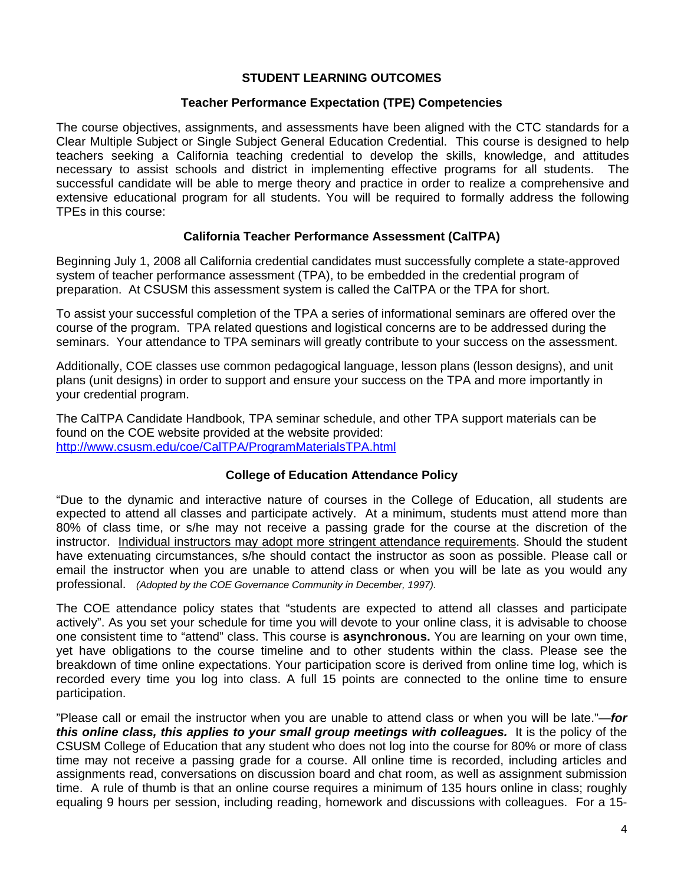### **STUDENT LEARNING OUTCOMES**

#### **Teacher Performance Expectation (TPE) Competencies**

The course objectives, assignments, and assessments have been aligned with the CTC standards for a Clear Multiple Subject or Single Subject General Education Credential. This course is designed to help teachers seeking a California teaching credential to develop the skills, knowledge, and attitudes necessary to assist schools and district in implementing effective programs for all students. The successful candidate will be able to merge theory and practice in order to realize a comprehensive and extensive educational program for all students. You will be required to formally address the following TPEs in this course:

### **California Teacher Performance Assessment (CalTPA)**

Beginning July 1, 2008 all California credential candidates must successfully complete a state-approved system of teacher performance assessment (TPA), to be embedded in the credential program of preparation. At CSUSM this assessment system is called the CalTPA or the TPA for short.

To assist your successful completion of the TPA a series of informational seminars are offered over the course of the program. TPA related questions and logistical concerns are to be addressed during the seminars. Your attendance to TPA seminars will greatly contribute to your success on the assessment.

Additionally, COE classes use common pedagogical language, lesson plans (lesson designs), and unit plans (unit designs) in order to support and ensure your success on the TPA and more importantly in your credential program.

The CalTPA Candidate Handbook, TPA seminar schedule, and other TPA support materials can be found on the COE website provided at the website provided: http://www.csusm.edu/coe/CalTPA/ProgramMaterialsTPA.html

#### **College of Education Attendance Policy**

 professional. *(Adopted by the COE Governance Community in December, 1997).* "Due to the dynamic and interactive nature of courses in the College of Education, all students are expected to attend all classes and participate actively. At a minimum, students must attend more than 80% of class time, or s/he may not receive a passing grade for the course at the discretion of the instructor. Individual instructors may adopt more stringent attendance requirements. Should the student have extenuating circumstances, s/he should contact the instructor as soon as possible. Please call or email the instructor when you are unable to attend class or when you will be late as you would any

The COE attendance policy states that "students are expected to attend all classes and participate actively". As you set your schedule for time you will devote to your online class, it is advisable to choose one consistent time to "attend" class. This course is **asynchronous.** You are learning on your own time, yet have obligations to the course timeline and to other students within the class. Please see the breakdown of time online expectations. Your participation score is derived from online time log, which is recorded every time you log into class. A full 15 points are connected to the online time to ensure participation.

"Please call or email the instructor when you are unable to attend class or when you will be late."—*for this online class, this applies to your small group meetings with colleagues.* It is the policy of the CSUSM College of Education that any student who does not log into the course for 80% or more of class time may not receive a passing grade for a course. All online time is recorded, including articles and assignments read, conversations on discussion board and chat room, as well as assignment submission time. A rule of thumb is that an online course requires a minimum of 135 hours online in class; roughly equaling 9 hours per session, including reading, homework and discussions with colleagues. For a 15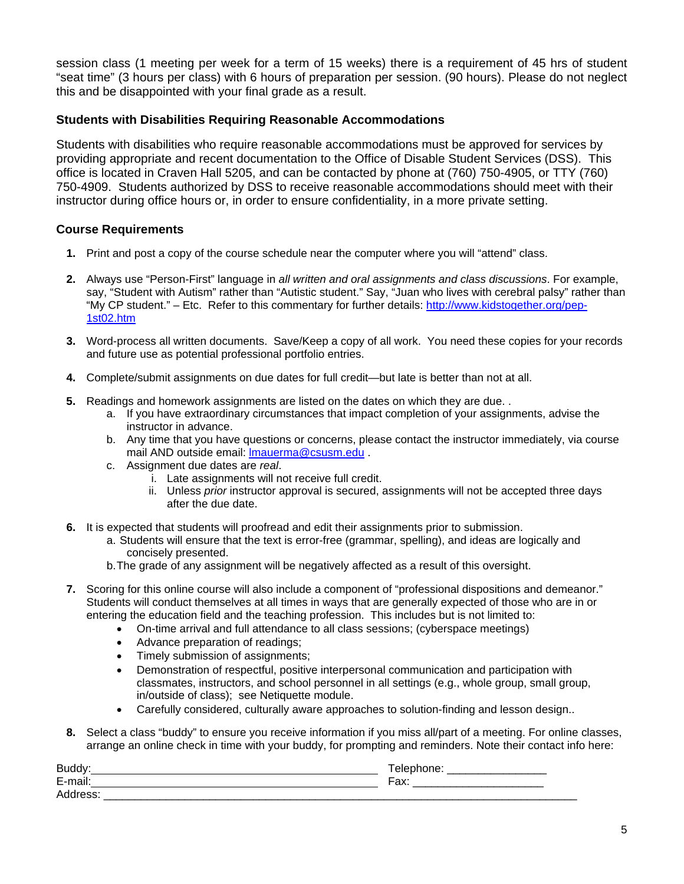session class (1 meeting per week for a term of 15 weeks) there is a requirement of 45 hrs of student "seat time" (3 hours per class) with 6 hours of preparation per session. (90 hours). Please do not neglect this and be disappointed with your final grade as a result.

### **Students with Disabilities Requiring Reasonable Accommodations**

Students with disabilities who require reasonable accommodations must be approved for services by providing appropriate and recent documentation to the Office of Disable Student Services (DSS). This office is located in Craven Hall 5205, and can be contacted by phone at (760) 750-4905, or TTY (760) 750-4909. Students authorized by DSS to receive reasonable accommodations should meet with their instructor during office hours or, in order to ensure confidentiality, in a more private setting.

#### **Course Requirements**

- **1.** Print and post a copy of the course schedule near the computer where you will "attend" class.
- 1st02.htm **2.** Always use "Person-First" language in *all written and oral assignments and class discussions*. For example, say, "Student with Autism" rather than "Autistic student." Say, "Juan who lives with cerebral palsy" rather than "My CP student." – Etc. Refer to this commentary for further details: http://www.kidstogether.org/pep-
- **3.** Word-process all written documents. Save/Keep a copy of all work. You need these copies for your records and future use as potential professional portfolio entries.
- **4.** Complete/submit assignments on due dates for full credit—but late is better than not at all.
- **5.** Readings and homework assignments are listed on the dates on which they are due. .
	- a. If you have extraordinary circumstances that impact completion of your assignments, advise the instructor in advance.
	- b. Any time that you have questions or concerns, please contact the instructor immediately, via course mail AND outside email: lmauerma@csusm.edu .
	- c. Assignment due dates are *real*.
		- i. Late assignments will not receive full credit.
		- ii. Unless *prior* instructor approval is secured, assignments will not be accepted three days after the due date.
- **6.** It is expected that students will proofread and edit their assignments prior to submission.
	- a.Students will ensure that the text is error-free (grammar, spelling), and ideas are logically and concisely presented.
	- b.The grade of any assignment will be negatively affected as a result of this oversight.
- **7.** Scoring for this online course will also include a component of "professional dispositions and demeanor." Students will conduct themselves at all times in ways that are generally expected of those who are in or entering the education field and the teaching profession. This includes but is not limited to:
	- On-time arrival and full attendance to all class sessions; (cyberspace meetings)
	- Advance preparation of readings;
	- Timely submission of assignments;
	- Demonstration of respectful, positive interpersonal communication and participation with classmates, instructors, and school personnel in all settings (e.g., whole group, small group, in/outside of class); see Netiquette module.
	- Carefully considered, culturally aware approaches to solution-finding and lesson design..
- **8.** Select a class "buddy" to ensure you receive information if you miss all/part of a meeting. For online classes, arrange an online check in time with your buddy, for prompting and reminders. Note their contact info here:

| <b>Buo</b> | _____                             |
|------------|-----------------------------------|
| -<br>-     | $-1$<br>$\mathbf{u}$<br>_________ |
| -          |                                   |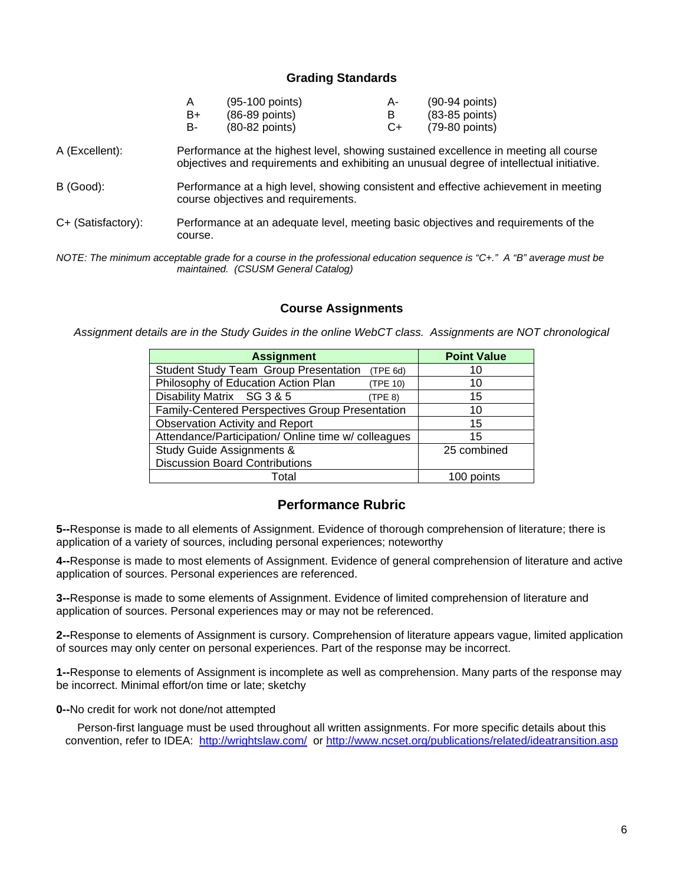### **Grading Standards**

| $\overline{A}$ | $(95-100$ points)        | A- | $(90-94$ points) |
|----------------|--------------------------|----|------------------|
| B+             | $(86-89$ points)         |    | $(83-85$ points) |
| - B            | $(80-82 \text{ points})$ | C+ | (79-80 points)   |

- A (Excellent): Performance at the highest level, showing sustained excellence in meeting all course objectives and requirements and exhibiting an unusual degree of intellectual initiative.
- B (Good): Performance at a high level, showing consistent and effective achievement in meeting course objectives and requirements.
- C+ (Satisfactory): Performance at an adequate level, meeting basic objectives and requirements of the course.
- *NOTE: The minimum acceptable grade for a course in the professional education sequence is "C+." A "B" average must be maintained. (CSUSM General Catalog)*

#### **Course Assignments**

*Assignment details are in the Study Guides in the online WebCT class. Assignments are NOT chronological* 

| <b>Assignment</b>                                        | <b>Point Value</b> |
|----------------------------------------------------------|--------------------|
| <b>Student Study Team Group Presentation</b><br>(TPE 6d) | 10                 |
| Philosophy of Education Action Plan<br>(TPE 10)          | 10                 |
| Disability Matrix SG 3 & 5<br>(TPE 8)                    | 15                 |
| Family-Centered Perspectives Group Presentation          | 10                 |
| <b>Observation Activity and Report</b>                   | 15                 |
| Attendance/Participation/ Online time w/ colleagues      | 15                 |
| <b>Study Guide Assignments &amp;</b>                     | 25 combined        |
| <b>Discussion Board Contributions</b>                    |                    |
| Total                                                    | 100 points         |

## **Performance Rubric**

**5--**Response is made to all elements of Assignment. Evidence of thorough comprehension of literature; there is application of a variety of sources, including personal experiences; noteworthy

**4--**Response is made to most elements of Assignment. Evidence of general comprehension of literature and active application of sources. Personal experiences are referenced.

**3--**Response is made to some elements of Assignment. Evidence of limited comprehension of literature and application of sources. Personal experiences may or may not be referenced.

**2--**Response to elements of Assignment is cursory. Comprehension of literature appears vague, limited application of sources may only center on personal experiences. Part of the response may be incorrect.

**1--**Response to elements of Assignment is incomplete as well as comprehension. Many parts of the response may be incorrect. Minimal effort/on time or late; sketchy

**0--**No credit for work not done/not attempted

convention, refer to IDEA: http://wrightslaw.com/ or http://www.ncset.org/publications/related/ideatransition.asp<br>6 Person-first language must be used throughout all written assignments. For more specific details about this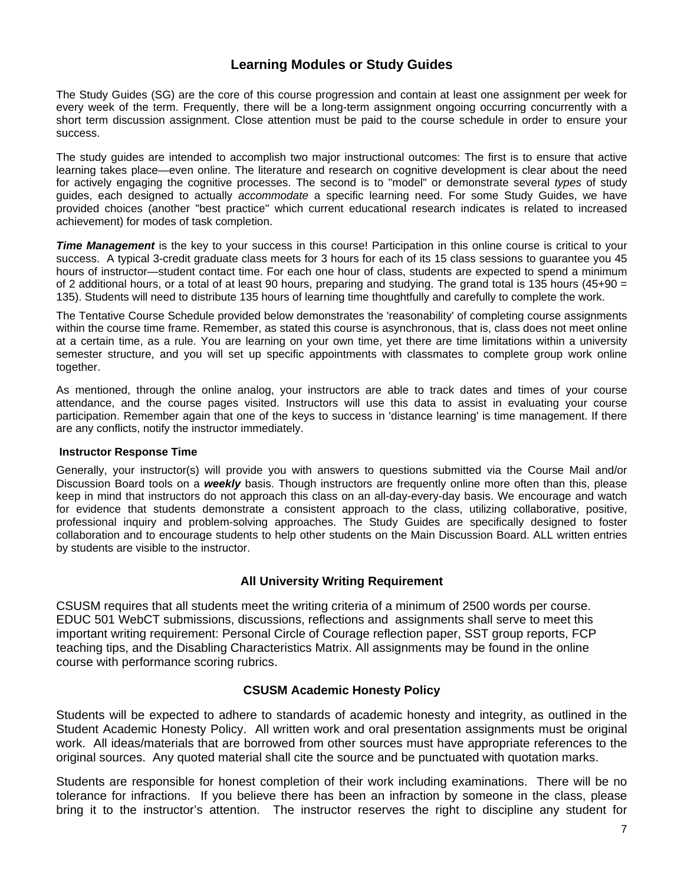# **Learning Modules or Study Guides**

success. The Study Guides (SG) are the core of this course progression and contain at least one assignment per week for every week of the term. Frequently, there will be a long-term assignment ongoing occurring concurrently with a short term discussion assignment. Close attention must be paid to the course schedule in order to ensure your

The study guides are intended to accomplish two major instructional outcomes: The first is to ensure that active learning takes place—even online. The literature and research on cognitive development is clear about the need for actively engaging the cognitive processes. The second is to "model" or demonstrate several *types* of study guides, each designed to actually *accommodate* a specific learning need. For some Study Guides, we have provided choices (another "best practice" which current educational research indicates is related to increased achievement) for modes of task completion.

*Time Management* is the key to your success in this course! Participation in this online course is critical to your success. A typical 3-credit graduate class meets for 3 hours for each of its 15 class sessions to guarantee you 45 hours of instructor—student contact time. For each one hour of class, students are expected to spend a minimum of 2 additional hours, or a total of at least 90 hours, preparing and studying. The grand total is 135 hours (45+90  $=$ 135). Students will need to distribute 135 hours of learning time thoughtfully and carefully to complete the work.

The Tentative Course Schedule provided below demonstrates the 'reasonability' of completing course assignments within the course time frame. Remember, as stated this course is asynchronous, that is, class does not meet online at a certain time, as a rule. You are learning on your own time, yet there are time limitations within a university semester structure, and you will set up specific appointments with classmates to complete group work online together.

As mentioned, through the online analog, your instructors are able to track dates and times of your course attendance, and the course pages visited. Instructors will use this data to assist in evaluating your course participation. Remember again that one of the keys to success in 'distance learning' is time management. If there are any conflicts, notify the instructor immediately.

#### **Instructor Response Time**

Generally, your instructor(s) will provide you with answers to questions submitted via the Course Mail and/or Discussion Board tools on a *weekly* basis. Though instructors are frequently online more often than this, please keep in mind that instructors do not approach this class on an all-day-every-day basis. We encourage and watch for evidence that students demonstrate a consistent approach to the class, utilizing collaborative, positive, professional inquiry and problem-solving approaches. The Study Guides are specifically designed to foster collaboration and to encourage students to help other students on the Main Discussion Board. ALL written entries by students are visible to the instructor.

### **All University Writing Requirement**

CSUSM requires that all students meet the writing criteria of a minimum of 2500 words per course. EDUC 501 WebCT submissions, discussions, reflections and assignments shall serve to meet this important writing requirement: Personal Circle of Courage reflection paper, SST group reports, FCP teaching tips, and the Disabling Characteristics Matrix. All assignments may be found in the online course with performance scoring rubrics.

### **CSUSM Academic Honesty Policy**

Students will be expected to adhere to standards of academic honesty and integrity, as outlined in the Student Academic Honesty Policy. All written work and oral presentation assignments must be original work. All ideas/materials that are borrowed from other sources must have appropriate references to the original sources. Any quoted material shall cite the source and be punctuated with quotation marks.

Students are responsible for honest completion of their work including examinations. There will be no tolerance for infractions. If you believe there has been an infraction by someone in the class, please bring it to the instructor's attention. The instructor reserves the right to discipline any student for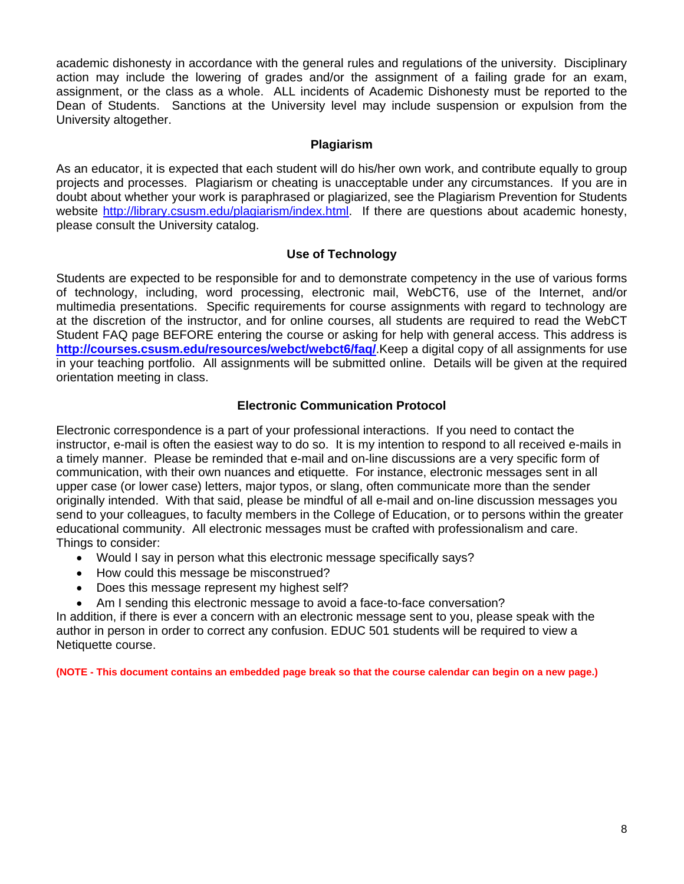academic dishonesty in accordance with the general rules and regulations of the university. Disciplinary action may include the lowering of grades and/or the assignment of a failing grade for an exam, assignment, or the class as a whole. ALL incidents of Academic Dishonesty must be reported to the Dean of Students. Sanctions at the University level may include suspension or expulsion from the University altogether.

### **Plagiarism**

As an educator, it is expected that each student will do his/her own work, and contribute equally to group projects and processes. Plagiarism or cheating is unacceptable under any circumstances. If you are in doubt about whether your work is paraphrased or plagiarized, see the Plagiarism Prevention for Students website http://library.csusm.edu/plagiarism/index.html. If there are questions about academic honesty, please consult the University catalog.

## **Use of Technology**

Students are expected to be responsible for and to demonstrate competency in the use of various forms of technology, including, word processing, electronic mail, WebCT6, use of the Internet, and/or multimedia presentations. Specific requirements for course assignments with regard to technology are at the discretion of the instructor, and for online courses, all students are required to read the WebCT Student FAQ page BEFORE entering the course or asking for help with general access. This address is **http://courses.csusm.edu/resources/webct/webct6/faq/**.Keep a digital copy of all assignments for use in your teaching portfolio. All assignments will be submitted online. Details will be given at the required orientation meeting in class.

### **Electronic Communication Protocol**

Electronic correspondence is a part of your professional interactions. If you need to contact the instructor, e-mail is often the easiest way to do so. It is my intention to respond to all received e-mails in a timely manner. Please be reminded that e-mail and on-line discussions are a very specific form of communication, with their own nuances and etiquette. For instance, electronic messages sent in all upper case (or lower case) letters, major typos, or slang, often communicate more than the sender originally intended. With that said, please be mindful of all e-mail and on-line discussion messages you send to your colleagues, to faculty members in the College of Education, or to persons within the greater educational community. All electronic messages must be crafted with professionalism and care. Things to consider:

- Would I say in person what this electronic message specifically says?
- How could this message be misconstrued?
- Does this message represent my highest self?
- Am I sending this electronic message to avoid a face-to-face conversation?

In addition, if there is ever a concern with an electronic message sent to you, please speak with the author in person in order to correct any confusion. EDUC 501 students will be required to view a Netiquette course.

**(NOTE - This document contains an embedded page break so that the course calendar can begin on a new page.)**